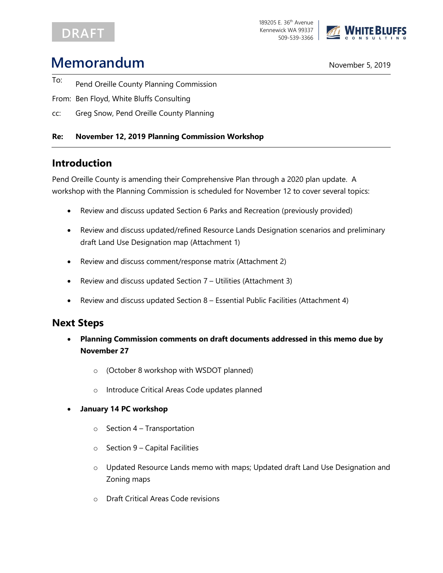## **DRAFT**



# **Memorandum** November 5, 2019

- To: Pend Oreille County Planning Commission
- From: Ben Floyd, White Bluffs Consulting
- cc: Greg Snow, Pend Oreille County Planning

#### **Re: November 12, 2019 Planning Commission Workshop**

## **Introduction**

Pend Oreille County is amending their Comprehensive Plan through a 2020 plan update. A workshop with the Planning Commission is scheduled for November 12 to cover several topics:

- Review and discuss updated Section 6 Parks and Recreation (previously provided)
- Review and discuss updated/refined Resource Lands Designation scenarios and preliminary draft Land Use Designation map (Attachment 1)
- Review and discuss comment/response matrix (Attachment 2)
- Review and discuss updated Section 7 Utilities (Attachment 3)
- Review and discuss updated Section 8 Essential Public Facilities (Attachment 4)

### **Next Steps**

- **Planning Commission comments on draft documents addressed in this memo due by November 27**
	- o (October 8 workshop with WSDOT planned)
	- o Introduce Critical Areas Code updates planned
- **January 14 PC workshop**
	- $\circ$  Section 4 Transportation
	- $\circ$  Section 9 Capital Facilities
	- o Updated Resource Lands memo with maps; Updated draft Land Use Designation and Zoning maps
	- o Draft Critical Areas Code revisions